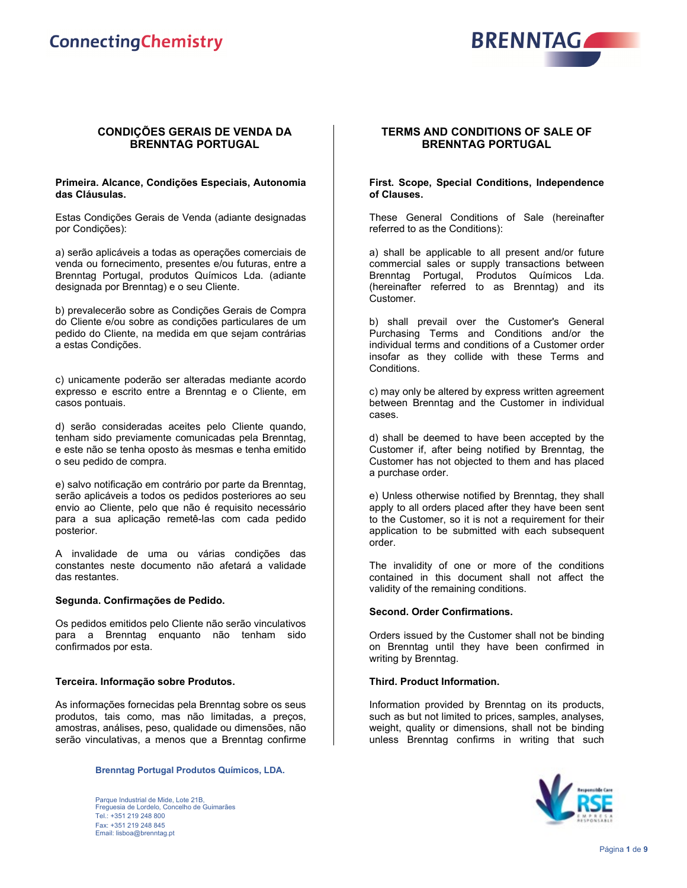

# **CONDIÇÕES GERAIS DE VENDA DA BRENNTAG PORTUGAL**

### **Primeira. Alcance, Condições Especiais, Autonomia das Cláusulas.**

Estas Condições Gerais de Venda (adiante designadas por Condições):

a) serão aplicáveis a todas as operações comerciais de venda ou fornecimento, presentes e/ou futuras, entre a Brenntag Portugal, produtos Químicos Lda. (adiante designada por Brenntag) e o seu Cliente.

b) prevalecerão sobre as Condições Gerais de Compra do Cliente e/ou sobre as condições particulares de um pedido do Cliente, na medida em que sejam contrárias a estas Condições.

c) unicamente poderão ser alteradas mediante acordo expresso e escrito entre a Brenntag e o Cliente, em casos pontuais.

d) serão consideradas aceites pelo Cliente quando, tenham sido previamente comunicadas pela Brenntag, e este não se tenha oposto às mesmas e tenha emitido o seu pedido de compra.

e) salvo notificação em contrário por parte da Brenntag, serão aplicáveis a todos os pedidos posteriores ao seu envio ao Cliente, pelo que não é requisito necessário para a sua aplicação remetê-las com cada pedido posterior.

A invalidade de uma ou várias condições das constantes neste documento não afetará a validade das restantes.

# **Segunda. Confirmações de Pedido.**

Os pedidos emitidos pelo Cliente não serão vinculativos para a Brenntag enquanto não tenham sido confirmados por esta.

# **Terceira. Informação sobre Produtos.**

As informações fornecidas pela Brenntag sobre os seus produtos, tais como, mas não limitadas, a preços, amostras, análises, peso, qualidade ou dimensões, não serão vinculativas, a menos que a Brenntag confirme

### **Brenntag Portugal Produtos Químicos, LDA.**

Parque Industrial de Mide, Lote 21B, Freguesia de Lordelo, Concelho de Guimarães Tel.: +351 219 248 800 Fax: +351 219 248 845 Email: lisboa@brenntag.pt

# **TERMS AND CONDITIONS OF SALE OF BRENNTAG PORTUGAL**

#### **First. Scope, Special Conditions, Independence of Clauses.**

These General Conditions of Sale (hereinafter referred to as the Conditions):

a) shall be applicable to all present and/or future commercial sales or supply transactions between Brenntag Portugal, Produtos Químicos Lda. (hereinafter referred to as Brenntag) and its Customer.

b) shall prevail over the Customer's General Purchasing Terms and Conditions and/or the individual terms and conditions of a Customer order insofar as they collide with these Terms and Conditions.

c) may only be altered by express written agreement between Brenntag and the Customer in individual cases.

d) shall be deemed to have been accepted by the Customer if, after being notified by Brenntag, the Customer has not objected to them and has placed a purchase order.

e) Unless otherwise notified by Brenntag, they shall apply to all orders placed after they have been sent to the Customer, so it is not a requirement for their application to be submitted with each subsequent order.

The invalidity of one or more of the conditions contained in this document shall not affect the validity of the remaining conditions.

#### **Second. Order Confirmations.**

Orders issued by the Customer shall not be binding on Brenntag until they have been confirmed in writing by Brenntag.

#### **Third. Product Information.**

Information provided by Brenntag on its products, such as but not limited to prices, samples, analyses, weight, quality or dimensions, shall not be binding unless Brenntag confirms in writing that such

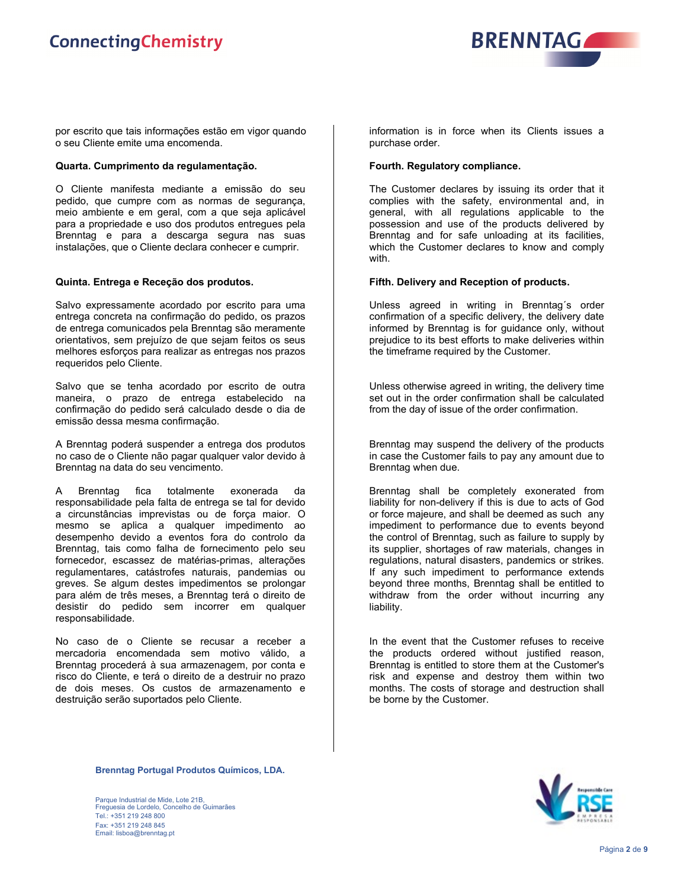

por escrito que tais informações estão em vigor quando o seu Cliente emite uma encomenda.

# **Quarta. Cumprimento da regulamentação.**

O Cliente manifesta mediante a emissão do seu pedido, que cumpre com as normas de segurança, meio ambiente e em geral, com a que seja aplicável para a propriedade e uso dos produtos entregues pela Brenntag e para a descarga segura nas suas instalações, que o Cliente declara conhecer e cumprir.

### **Quinta. Entrega e Receção dos produtos.**

Salvo expressamente acordado por escrito para uma entrega concreta na confirmação do pedido, os prazos de entrega comunicados pela Brenntag são meramente orientativos, sem prejuízo de que sejam feitos os seus melhores esforços para realizar as entregas nos prazos requeridos pelo Cliente.

Salvo que se tenha acordado por escrito de outra maneira, o prazo de entrega estabelecido na confirmação do pedido será calculado desde o dia de emissão dessa mesma confirmação.

A Brenntag poderá suspender a entrega dos produtos no caso de o Cliente não pagar qualquer valor devido à Brenntag na data do seu vencimento.

A Brenntag fica totalmente exonerada da responsabilidade pela falta de entrega se tal for devido a circunstâncias imprevistas ou de força maior. O mesmo se aplica a qualquer impedimento ao desempenho devido a eventos fora do controlo da Brenntag, tais como falha de fornecimento pelo seu fornecedor, escassez de matérias-primas, alterações regulamentares, catástrofes naturais, pandemias ou greves. Se algum destes impedimentos se prolongar para além de três meses, a Brenntag terá o direito de desistir do pedido sem incorrer em qualquer responsabilidade.

No caso de o Cliente se recusar a receber a mercadoria encomendada sem motivo válido, a Brenntag procederá à sua armazenagem, por conta e risco do Cliente, e terá o direito de a destruir no prazo de dois meses. Os custos de armazenamento e destruição serão suportados pelo Cliente.

information is in force when its Clients issues a purchase order.

### **Fourth. Regulatory compliance.**

The Customer declares by issuing its order that it complies with the safety, environmental and, in general, with all regulations applicable to the possession and use of the products delivered by Brenntag and for safe unloading at its facilities, which the Customer declares to know and comply with.

### **Fifth. Delivery and Reception of products.**

Unless agreed in writing in Brenntag´s order confirmation of a specific delivery, the delivery date informed by Brenntag is for guidance only, without prejudice to its best efforts to make deliveries within the timeframe required by the Customer.

Unless otherwise agreed in writing, the delivery time set out in the order confirmation shall be calculated from the day of issue of the order confirmation.

Brenntag may suspend the delivery of the products in case the Customer fails to pay any amount due to Brenntag when due.

Brenntag shall be completely exonerated from liability for non-delivery if this is due to acts of God or force majeure, and shall be deemed as such any impediment to performance due to events beyond the control of Brenntag, such as failure to supply by its supplier, shortages of raw materials, changes in regulations, natural disasters, pandemics or strikes. If any such impediment to performance extends beyond three months, Brenntag shall be entitled to withdraw from the order without incurring any liability.

In the event that the Customer refuses to receive the products ordered without justified reason, Brenntag is entitled to store them at the Customer's risk and expense and destroy them within two months. The costs of storage and destruction shall be borne by the Customer.

**Brenntag Portugal Produtos Químicos, LDA.**

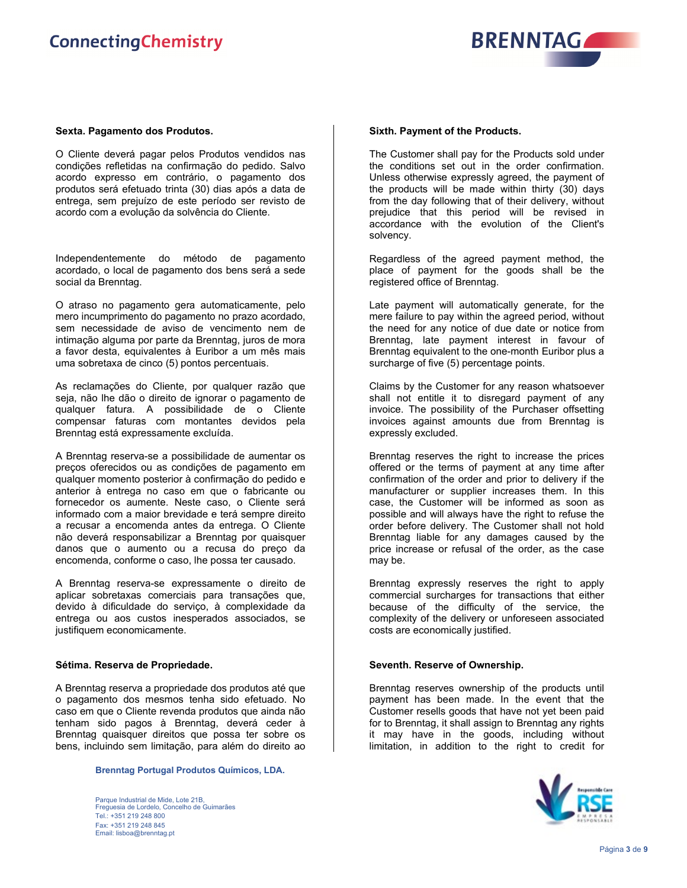

### **Sexta. Pagamento dos Produtos.**

O Cliente deverá pagar pelos Produtos vendidos nas condições refletidas na confirmação do pedido. Salvo acordo expresso em contrário, o pagamento dos produtos será efetuado trinta (30) dias após a data de entrega, sem prejuízo de este período ser revisto de acordo com a evolução da solvência do Cliente.

Independentemente do método de pagamento acordado, o local de pagamento dos bens será a sede social da Brenntag.

O atraso no pagamento gera automaticamente, pelo mero incumprimento do pagamento no prazo acordado, sem necessidade de aviso de vencimento nem de intimação alguma por parte da Brenntag, juros de mora a favor desta, equivalentes à Euribor a um mês mais uma sobretaxa de cinco (5) pontos percentuais.

As reclamações do Cliente, por qualquer razão que seja, não lhe dão o direito de ignorar o pagamento de qualquer fatura. A possibilidade de o Cliente compensar faturas com montantes devidos pela Brenntag está expressamente excluída.

A Brenntag reserva-se a possibilidade de aumentar os preços oferecidos ou as condições de pagamento em qualquer momento posterior à confirmação do pedido e anterior à entrega no caso em que o fabricante ou fornecedor os aumente. Neste caso, o Cliente será informado com a maior brevidade e terá sempre direito a recusar a encomenda antes da entrega. O Cliente não deverá responsabilizar a Brenntag por quaisquer danos que o aumento ou a recusa do preço da encomenda, conforme o caso, lhe possa ter causado.

A Brenntag reserva-se expressamente o direito de aplicar sobretaxas comerciais para transações que, devido à dificuldade do serviço, à complexidade da entrega ou aos custos inesperados associados, se justifiquem economicamente.

#### **Sétima. Reserva de Propriedade.**

A Brenntag reserva a propriedade dos produtos até que o pagamento dos mesmos tenha sido efetuado. No caso em que o Cliente revenda produtos que ainda não tenham sido pagos à Brenntag, deverá ceder à Brenntag quaisquer direitos que possa ter sobre os bens, incluindo sem limitação, para além do direito ao

**Brenntag Portugal Produtos Químicos, LDA.**

Parque Industrial de Mide, Lote 21B, Freguesia de Lordelo, Concelho de Guimarães Tel.: +351 219 248 800 Fax: +351 219 248 845 Email: lisboa@brenntag.pt

#### **Sixth. Payment of the Products.**

The Customer shall pay for the Products sold under the conditions set out in the order confirmation. Unless otherwise expressly agreed, the payment of the products will be made within thirty (30) days from the day following that of their delivery, without prejudice that this period will be revised in accordance with the evolution of the Client's solvency.

Regardless of the agreed payment method, the place of payment for the goods shall be the registered office of Brenntag.

Late payment will automatically generate, for the mere failure to pay within the agreed period, without the need for any notice of due date or notice from Brenntag, late payment interest in favour of Brenntag equivalent to the one-month Euribor plus a surcharge of five (5) percentage points.

Claims by the Customer for any reason whatsoever shall not entitle it to disregard payment of any invoice. The possibility of the Purchaser offsetting invoices against amounts due from Brenntag is expressly excluded.

Brenntag reserves the right to increase the prices offered or the terms of payment at any time after confirmation of the order and prior to delivery if the manufacturer or supplier increases them. In this case, the Customer will be informed as soon as possible and will always have the right to refuse the order before delivery. The Customer shall not hold Brenntag liable for any damages caused by the price increase or refusal of the order, as the case may be.

Brenntag expressly reserves the right to apply commercial surcharges for transactions that either because of the difficulty of the service, the complexity of the delivery or unforeseen associated costs are economically justified.

#### **Seventh. Reserve of Ownership.**

Brenntag reserves ownership of the products until payment has been made. In the event that the Customer resells goods that have not yet been paid for to Brenntag, it shall assign to Brenntag any rights it may have in the goods, including without limitation, in addition to the right to credit for

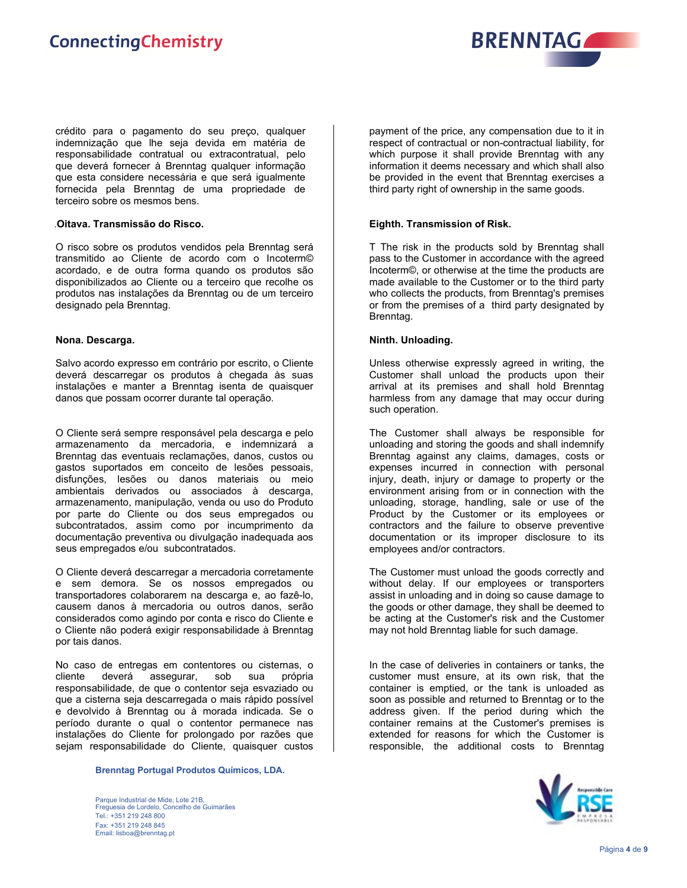

crédito para o pagamento do seu preço, qualquer indemnização que lhe seja devida em matéria de responsabilidade contratual ou extracontratual, pelo que deverá fornecer à Brenntag qualquer informação que esta considere necessária e que será igualmente fornecida pela Brenntag de uma propriedade de terceiro sobre os mesmos bens.

# .**Oitava. Transmissão do Risco.**

O risco sobre os produtos vendidos pela Brenntag será transmitido ao Cliente de acordo com o Incoterm© acordado, e de outra forma quando os produtos são disponibilizados ao Cliente ou a terceiro que recolhe os produtos nas instalações da Brenntag ou de um terceiro designado pela Brenntag.

# **Nona. Descarga.**

Salvo acordo expresso em contrário por escrito, o Cliente deverá descarregar os produtos à chegada às suas instalações e manter a Brenntag isenta de quaisquer danos que possam ocorrer durante tal operação.

O Cliente será sempre responsável pela descarga e pelo armazenamento da mercadoria, e indemnizará a Brenntag das eventuais reclamações, danos, custos ou gastos suportados em conceito de lesões pessoais, disfunções, lesões ou danos materiais ou meio ambientais derivados ou associados à descarga, armazenamento, manipulação, venda ou uso do Produto por parte do Cliente ou dos seus empregados ou subcontratados, assim como por incumprimento da documentação preventiva ou divulgação inadequada aos seus empregados e/ou subcontratados.

O Cliente deverá descarregar a mercadoria corretamente e sem demora. Se os nossos empregados ou transportadores colaborarem na descarga e, ao fazê-lo, causem danos à mercadoria ou outros danos, serão considerados como agindo por conta e risco do Cliente e o Cliente não poderá exigir responsabilidade à Brenntag por tais danos.

No caso de entregas em contentores ou cisternas, o cliente deverá assegurar, sob sua própria responsabilidade, de que o contentor seja esvaziado ou que a cisterna seja descarregada o mais rápido possível e devolvido à Brenntag ou à morada indicada. Se o período durante o qual o contentor permanece nas instalações do Cliente for prolongado por razões que sejam responsabilidade do Cliente, quaisquer custos

**Brenntag Portugal Produtos Químicos, LDA.**

Parque Industrial de Mide, Lote 21B, Freguesia de Lordelo, Concelho de Guimarães Tel.: +351 219 248 800 Fax: +351 219 248 845 Email: lisboa@brenntag.pt

payment of the price, any compensation due to it in respect of contractual or non-contractual liability, for which purpose it shall provide Brenntag with any information it deems necessary and which shall also be provided in the event that Brenntag exercises a third party right of ownership in the same goods.

# **Eighth. Transmission of Risk.**

T The risk in the products sold by Brenntag shall pass to the Customer in accordance with the agreed Incoterm©, or otherwise at the time the products are made available to the Customer or to the third party who collects the products, from Brenntag's premises or from the premises of a third party designated by Brenntag.

# **Ninth. Unloading.**

Unless otherwise expressly agreed in writing, the Customer shall unload the products upon their arrival at its premises and shall hold Brenntag harmless from any damage that may occur during such operation.

The Customer shall always be responsible for unloading and storing the goods and shall indemnify Brenntag against any claims, damages, costs or expenses incurred in connection with personal injury, death, injury or damage to property or the environment arising from or in connection with the unloading, storage, handling, sale or use of the Product by the Customer or its employees or contractors and the failure to observe preventive documentation or its improper disclosure to its employees and/or contractors.

The Customer must unload the goods correctly and without delay. If our employees or transporters assist in unloading and in doing so cause damage to the goods or other damage, they shall be deemed to be acting at the Customer's risk and the Customer may not hold Brenntag liable for such damage.

In the case of deliveries in containers or tanks, the customer must ensure, at its own risk, that the container is emptied, or the tank is unloaded as soon as possible and returned to Brenntag or to the address given. If the period during which the container remains at the Customer's premises is extended for reasons for which the Customer is responsible, the additional costs to Brenntag

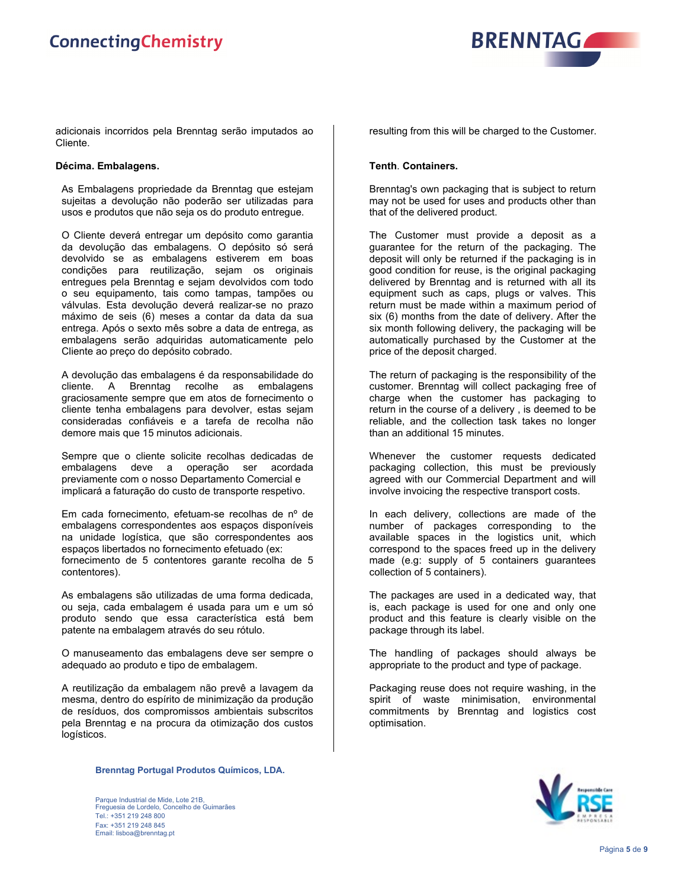

adicionais incorridos pela Brenntag serão imputados ao Cliente.

# **Décima. Embalagens.**

As Embalagens propriedade da Brenntag que estejam sujeitas a devolução não poderão ser utilizadas para usos e produtos que não seja os do produto entregue.

O Cliente deverá entregar um depósito como garantia da devolução das embalagens. O depósito só será devolvido se as embalagens estiverem em boas condições para reutilização, sejam os originais entregues pela Brenntag e sejam devolvidos com todo o seu equipamento, tais como tampas, tampões ou válvulas. Esta devolução deverá realizar-se no prazo máximo de seis (6) meses a contar da data da sua entrega. Após o sexto mês sobre a data de entrega, as embalagens serão adquiridas automaticamente pelo Cliente ao preço do depósito cobrado.

A devolução das embalagens é da responsabilidade do cliente. A Brenntag recolhe as embalagens graciosamente sempre que em atos de fornecimento o cliente tenha embalagens para devolver, estas sejam consideradas confiáveis e a tarefa de recolha não demore mais que 15 minutos adicionais.

Sempre que o cliente solicite recolhas dedicadas de embalagens deve a operação ser acordada previamente com o nosso Departamento Comercial e implicará a faturação do custo de transporte respetivo.

Em cada fornecimento, efetuam-se recolhas de nº de embalagens correspondentes aos espaços disponíveis na unidade logística, que são correspondentes aos espaços libertados no fornecimento efetuado (ex: fornecimento de 5 contentores garante recolha de 5 contentores).

As embalagens são utilizadas de uma forma dedicada, ou seja, cada embalagem é usada para um e um só produto sendo que essa característica está bem patente na embalagem através do seu rótulo.

O manuseamento das embalagens deve ser sempre o adequado ao produto e tipo de embalagem.

A reutilização da embalagem não prevê a lavagem da mesma, dentro do espírito de minimização da produção de resíduos, dos compromissos ambientais subscritos pela Brenntag e na procura da otimização dos custos logísticos.

resulting from this will be charged to the Customer.

### **Tenth**. **Containers.**

Brenntag's own packaging that is subject to return may not be used for uses and products other than that of the delivered product.

The Customer must provide a deposit as a guarantee for the return of the packaging. The deposit will only be returned if the packaging is in good condition for reuse, is the original packaging delivered by Brenntag and is returned with all its equipment such as caps, plugs or valves. This return must be made within a maximum period of six (6) months from the date of delivery. After the six month following delivery, the packaging will be automatically purchased by the Customer at the price of the deposit charged.

The return of packaging is the responsibility of the customer. Brenntag will collect packaging free of charge when the customer has packaging to return in the course of a delivery , is deemed to be reliable, and the collection task takes no longer than an additional 15 minutes.

Whenever the customer requests dedicated packaging collection, this must be previously agreed with our Commercial Department and will involve invoicing the respective transport costs.

In each delivery, collections are made of the number of packages corresponding to the available spaces in the logistics unit, which correspond to the spaces freed up in the delivery made (e.g: supply of 5 containers guarantees collection of 5 containers).

The packages are used in a dedicated way, that is, each package is used for one and only one product and this feature is clearly visible on the package through its label.

The handling of packages should always be appropriate to the product and type of package.

Packaging reuse does not require washing, in the spirit of waste minimisation, environmental commitments by Brenntag and logistics cost optimisation.

**Brenntag Portugal Produtos Químicos, LDA.**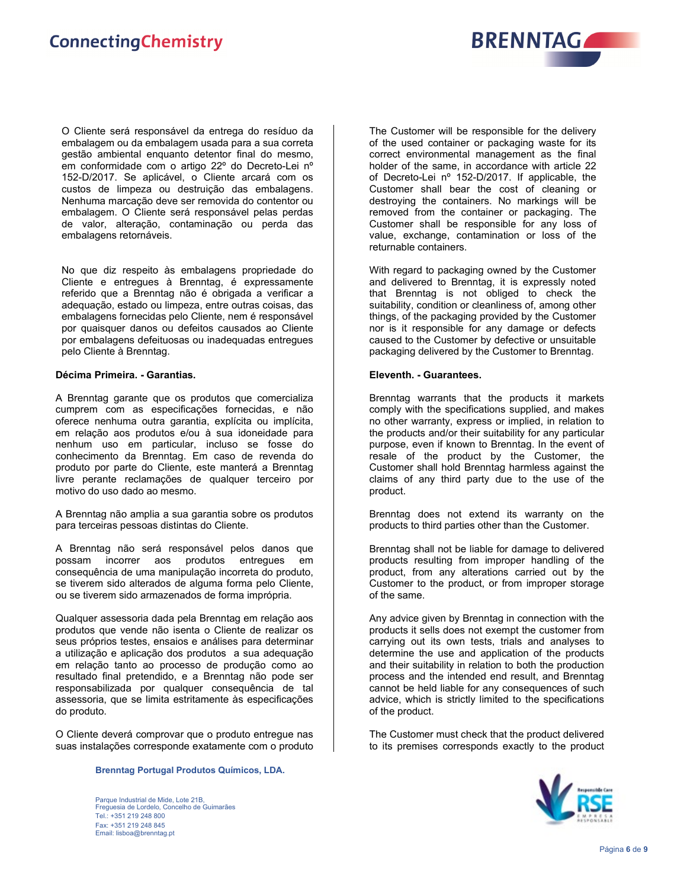

O Cliente será responsável da entrega do resíduo da embalagem ou da embalagem usada para a sua correta gestão ambiental enquanto detentor final do mesmo, em conformidade com o artigo 22º do Decreto-Lei nº 152-D/2017. Se aplicável, o Cliente arcará com os custos de limpeza ou destruição das embalagens. Nenhuma marcação deve ser removida do contentor ou embalagem. O Cliente será responsável pelas perdas de valor, alteração, contaminação ou perda das embalagens retornáveis.

No que diz respeito às embalagens propriedade do Cliente e entregues à Brenntag, é expressamente referido que a Brenntag não é obrigada a verificar a adequação, estado ou limpeza, entre outras coisas, das embalagens fornecidas pelo Cliente, nem é responsável por quaisquer danos ou defeitos causados ao Cliente por embalagens defeituosas ou inadequadas entregues pelo Cliente à Brenntag.

### **Décima Primeira. - Garantias.**

A Brenntag garante que os produtos que comercializa cumprem com as especificações fornecidas, e não oferece nenhuma outra garantia, explícita ou implícita, em relação aos produtos e/ou à sua idoneidade para nenhum uso em particular, incluso se fosse do conhecimento da Brenntag. Em caso de revenda do produto por parte do Cliente, este manterá a Brenntag livre perante reclamações de qualquer terceiro por motivo do uso dado ao mesmo.

A Brenntag não amplia a sua garantia sobre os produtos para terceiras pessoas distintas do Cliente.

A Brenntag não será responsável pelos danos que possam incorrer aos produtos entregues em consequência de uma manipulação incorreta do produto, se tiverem sido alterados de alguma forma pelo Cliente, ou se tiverem sido armazenados de forma imprópria.

Qualquer assessoria dada pela Brenntag em relação aos produtos que vende não isenta o Cliente de realizar os seus próprios testes, ensaios e análises para determinar a utilização e aplicação dos produtos a sua adequação em relação tanto ao processo de produção como ao resultado final pretendido, e a Brenntag não pode ser responsabilizada por qualquer consequência de tal assessoria, que se limita estritamente às especificações do produto.

O Cliente deverá comprovar que o produto entregue nas suas instalações corresponde exatamente com o produto

**Brenntag Portugal Produtos Químicos, LDA.**

The Customer will be responsible for the delivery of the used container or packaging waste for its correct environmental management as the final holder of the same, in accordance with article 22 of Decreto-Lei nº 152-D/2017. If applicable, the Customer shall bear the cost of cleaning or destroying the containers. No markings will be removed from the container or packaging. The Customer shall be responsible for any loss of value, exchange, contamination or loss of the returnable containers.

With regard to packaging owned by the Customer and delivered to Brenntag, it is expressly noted that Brenntag is not obliged to check the suitability, condition or cleanliness of, among other things, of the packaging provided by the Customer nor is it responsible for any damage or defects caused to the Customer by defective or unsuitable packaging delivered by the Customer to Brenntag.

### **Eleventh. - Guarantees.**

Brenntag warrants that the products it markets comply with the specifications supplied, and makes no other warranty, express or implied, in relation to the products and/or their suitability for any particular purpose, even if known to Brenntag. In the event of resale of the product by the Customer, the Customer shall hold Brenntag harmless against the claims of any third party due to the use of the product.

Brenntag does not extend its warranty on the products to third parties other than the Customer.

Brenntag shall not be liable for damage to delivered products resulting from improper handling of the product, from any alterations carried out by the Customer to the product, or from improper storage of the same.

Any advice given by Brenntag in connection with the products it sells does not exempt the customer from carrying out its own tests, trials and analyses to determine the use and application of the products and their suitability in relation to both the production process and the intended end result, and Brenntag cannot be held liable for any consequences of such advice, which is strictly limited to the specifications of the product.

The Customer must check that the product delivered to its premises corresponds exactly to the product

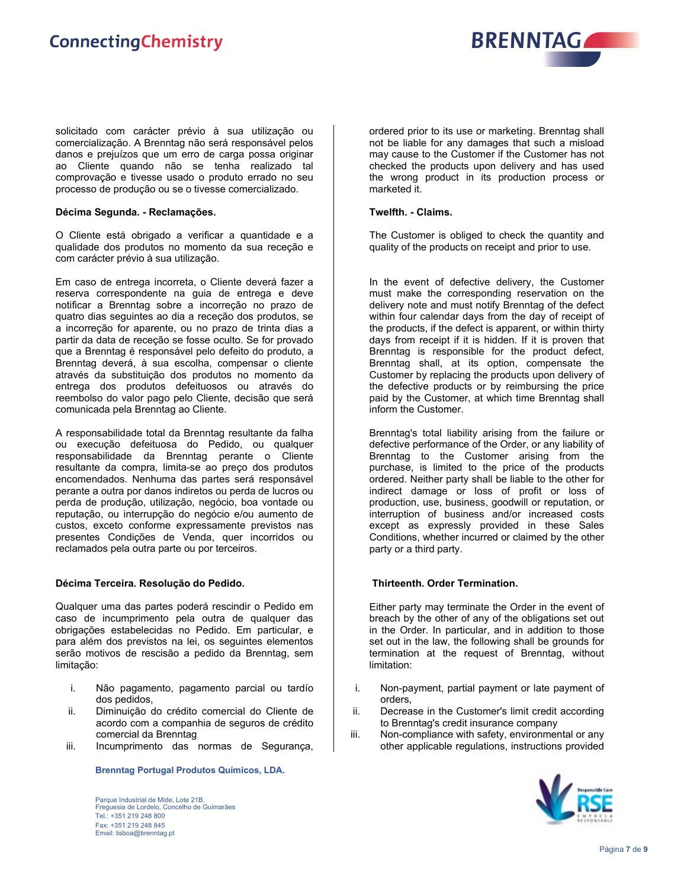

solicitado com carácter prévio à sua utilização ou comercialização. A Brenntag não será responsável pelos danos e prejuízos que um erro de carga possa originar ao Cliente quando não se tenha realizado tal comprovação e tivesse usado o produto errado no seu processo de produção ou se o tivesse comercializado.

### **Décima Segunda. - Reclamações.**

O Cliente está obrigado a verificar a quantidade e a qualidade dos produtos no momento da sua receção e com carácter prévio à sua utilização.

Em caso de entrega incorreta, o Cliente deverá fazer a reserva correspondente na guia de entrega e deve notificar a Brenntag sobre a incorreção no prazo de quatro dias seguintes ao dia a receção dos produtos, se a incorreção for aparente, ou no prazo de trinta dias a partir da data de receção se fosse oculto. Se for provado que a Brenntag é responsável pelo defeito do produto, a Brenntag deverá, à sua escolha, compensar o cliente através da substituição dos produtos no momento da entrega dos produtos defeituosos ou através do reembolso do valor pago pelo Cliente, decisão que será comunicada pela Brenntag ao Cliente.

A responsabilidade total da Brenntag resultante da falha ou execução defeituosa do Pedido, ou qualquer responsabilidade da Brenntag perante o Cliente resultante da compra, limita-se ao preço dos produtos encomendados. Nenhuma das partes será responsável perante a outra por danos indiretos ou perda de lucros ou perda de produção, utilização, negócio, boa vontade ou reputação, ou interrupção do negócio e/ou aumento de custos, exceto conforme expressamente previstos nas presentes Condições de Venda, quer incorridos ou reclamados pela outra parte ou por terceiros.

# **Décima Terceira. Resolução do Pedido.**

Qualquer uma das partes poderá rescindir o Pedido em caso de incumprimento pela outra de qualquer das obrigações estabelecidas no Pedido. Em particular, e para além dos previstos na lei, os seguintes elementos serão motivos de rescisão a pedido da Brenntag, sem limitação:

- i. Não pagamento, pagamento parcial ou tardío dos pedidos,
- ii. Diminuição do crédito comercial do Cliente de acordo com a companhia de seguros de crédito comercial da Brenntag
- iii. Incumprimento das normas de Segurança,

**Brenntag Portugal Produtos Químicos, LDA.**

Parque Industrial de Mide, Lote 21B, Freguesia de Lordelo, Concelho de Guimarães Tel.: +351 219 248 800 Fax: +351 219 248 845 Email: lisboa@brenntag.pt

ordered prior to its use or marketing. Brenntag shall not be liable for any damages that such a misload may cause to the Customer if the Customer has not checked the products upon delivery and has used the wrong product in its production process or marketed it.

### **Twelfth. - Claims.**

The Customer is obliged to check the quantity and quality of the products on receipt and prior to use.

In the event of defective delivery, the Customer must make the corresponding reservation on the delivery note and must notify Brenntag of the defect within four calendar days from the day of receipt of the products, if the defect is apparent, or within thirty days from receipt if it is hidden. If it is proven that Brenntag is responsible for the product defect, Brenntag shall, at its option, compensate the Customer by replacing the products upon delivery of the defective products or by reimbursing the price paid by the Customer, at which time Brenntag shall inform the Customer.

Brenntag's total liability arising from the failure or defective performance of the Order, or any liability of Brenntag to the Customer arising from the purchase, is limited to the price of the products ordered. Neither party shall be liable to the other for indirect damage or loss of profit or loss of production, use, business, goodwill or reputation, or interruption of business and/or increased costs except as expressly provided in these Sales Conditions, whether incurred or claimed by the other party or a third party.

# **Thirteenth. Order Termination.**

Either party may terminate the Order in the event of breach by the other of any of the obligations set out in the Order. In particular, and in addition to those set out in the law, the following shall be grounds for termination at the request of Brenntag, without limitation:

- i. Non-payment, partial payment or late payment of orders,
- ii. Decrease in the Customer's limit credit according to Brenntag's credit insurance company
- iii. Non-compliance with safety, environmental or any other applicable regulations, instructions provided

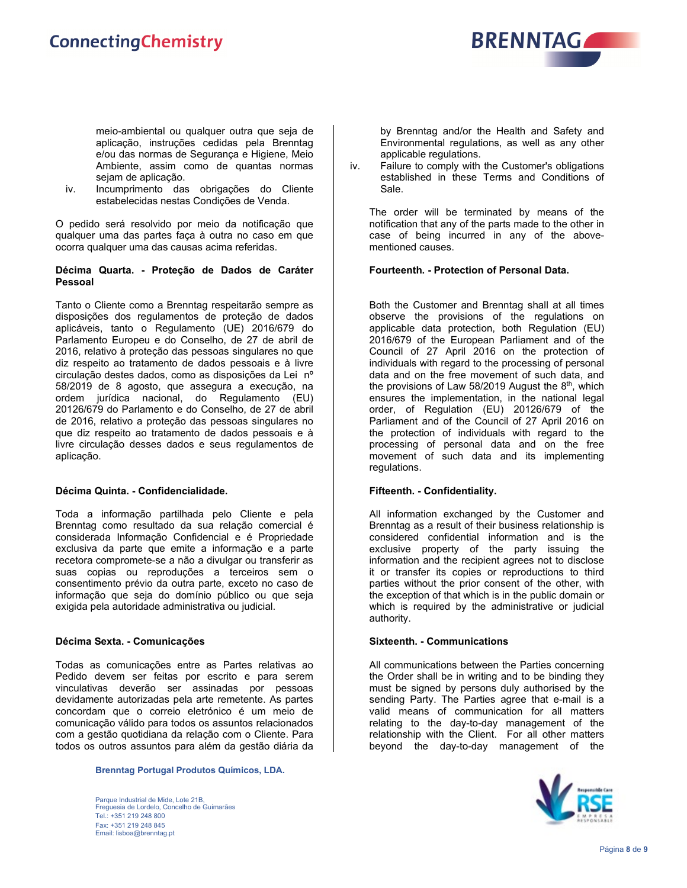

meio-ambiental ou qualquer outra que seja de aplicação, instruções cedidas pela Brenntag e/ou das normas de Segurança e Higiene, Meio Ambiente, assim como de quantas normas sejam de aplicação.

iv. Incumprimento das obrigações do Cliente estabelecidas nestas Condições de Venda.

O pedido será resolvido por meio da notificação que qualquer uma das partes faça à outra no caso em que ocorra qualquer uma das causas acima referidas.

# **Décima Quarta. - Proteção de Dados de Caráter Pessoal**

Tanto o Cliente como a Brenntag respeitarão sempre as disposições dos regulamentos de proteção de dados aplicáveis, tanto o Regulamento (UE) 2016/679 do Parlamento Europeu e do Conselho, de 27 de abril de 2016, relativo à proteção das pessoas singulares no que diz respeito ao tratamento de dados pessoais e à livre circulação destes dados, como as disposições da Lei nº 58/2019 de 8 agosto, que assegura a execução, na ordem jurídica nacional, do Regulamento (EU) 20126/679 do Parlamento e do Conselho, de 27 de abril de 2016, relativo a proteção das pessoas singulares no que diz respeito ao tratamento de dados pessoais e à livre circulação desses dados e seus regulamentos de aplicação.

# **Décima Quinta. - Confidencialidade.**

Toda a informação partilhada pelo Cliente e pela Brenntag como resultado da sua relação comercial é considerada Informação Confidencial e é Propriedade exclusiva da parte que emite a informação e a parte recetora compromete-se a não a divulgar ou transferir as suas copias ou reproduções a terceiros sem o consentimento prévio da outra parte, exceto no caso de informação que seja do domínio público ou que seja exigida pela autoridade administrativa ou judicial.

# **Décima Sexta. - Comunicações**

Todas as comunicações entre as Partes relativas ao Pedido devem ser feitas por escrito e para serem vinculativas deverão ser assinadas por pessoas devidamente autorizadas pela arte remetente. As partes concordam que o correio eletrónico é um meio de comunicação válido para todos os assuntos relacionados com a gestão quotidiana da relação com o Cliente. Para todos os outros assuntos para além da gestão diária da

**Brenntag Portugal Produtos Químicos, LDA.**

Parque Industrial de Mide, Lote 21B, Freguesia de Lordelo, Concelho de Guimarães Tel.: +351 219 248 800 Fax: +351 219 248 845 Email: lisboa@brenntag.pt

by Brenntag and/or the Health and Safety and Environmental regulations, as well as any other applicable regulations.

iv. Failure to comply with the Customer's obligations established in these Terms and Conditions of Sale.

The order will be terminated by means of the notification that any of the parts made to the other in case of being incurred in any of the abovementioned causes.

### **Fourteenth. - Protection of Personal Data.**

Both the Customer and Brenntag shall at all times observe the provisions of the regulations on applicable data protection, both Regulation (EU) 2016/679 of the European Parliament and of the Council of 27 April 2016 on the protection of individuals with regard to the processing of personal data and on the free movement of such data, and the provisions of Law  $58/2019$  August the  $8<sup>th</sup>$ , which ensures the implementation, in the national legal order, of Regulation (EU) 20126/679 of the Parliament and of the Council of 27 April 2016 on the protection of individuals with regard to the processing of personal data and on the free movement of such data and its implementing regulations.

# **Fifteenth. - Confidentiality.**

All information exchanged by the Customer and Brenntag as a result of their business relationship is considered confidential information and is the exclusive property of the party issuing the information and the recipient agrees not to disclose it or transfer its copies or reproductions to third parties without the prior consent of the other, with the exception of that which is in the public domain or which is required by the administrative or judicial authority.

# **Sixteenth. - Communications**

All communications between the Parties concerning the Order shall be in writing and to be binding they must be signed by persons duly authorised by the sending Party. The Parties agree that e-mail is a valid means of communication for all matters relating to the day-to-day management of the relationship with the Client. For all other matters beyond the day-to-day management of the